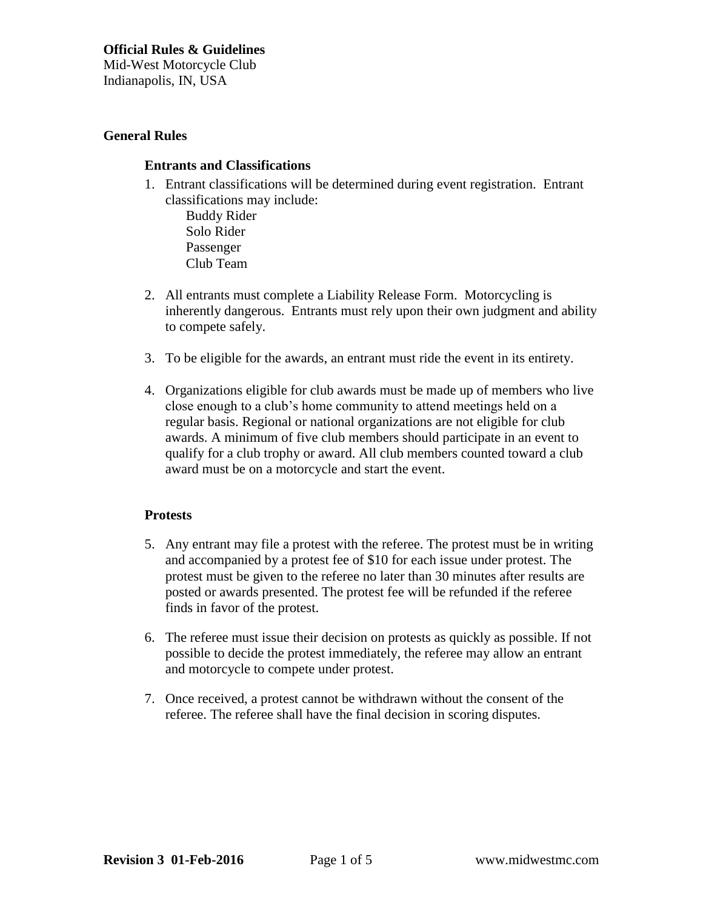# **General Rules**

### **Entrants and Classifications**

1. Entrant classifications will be determined during event registration. Entrant classifications may include:

Buddy Rider Solo Rider Passenger Club Team

- 2. All entrants must complete a Liability Release Form. Motorcycling is inherently dangerous. Entrants must rely upon their own judgment and ability to compete safely.
- 3. To be eligible for the awards, an entrant must ride the event in its entirety.
- 4. Organizations eligible for club awards must be made up of members who live close enough to a club's home community to attend meetings held on a regular basis. Regional or national organizations are not eligible for club awards. A minimum of five club members should participate in an event to qualify for a club trophy or award. All club members counted toward a club award must be on a motorcycle and start the event.

# **Protests**

- 5. Any entrant may file a protest with the referee. The protest must be in writing and accompanied by a protest fee of \$10 for each issue under protest. The protest must be given to the referee no later than 30 minutes after results are posted or awards presented. The protest fee will be refunded if the referee finds in favor of the protest.
- 6. The referee must issue their decision on protests as quickly as possible. If not possible to decide the protest immediately, the referee may allow an entrant and motorcycle to compete under protest.
- 7. Once received, a protest cannot be withdrawn without the consent of the referee. The referee shall have the final decision in scoring disputes.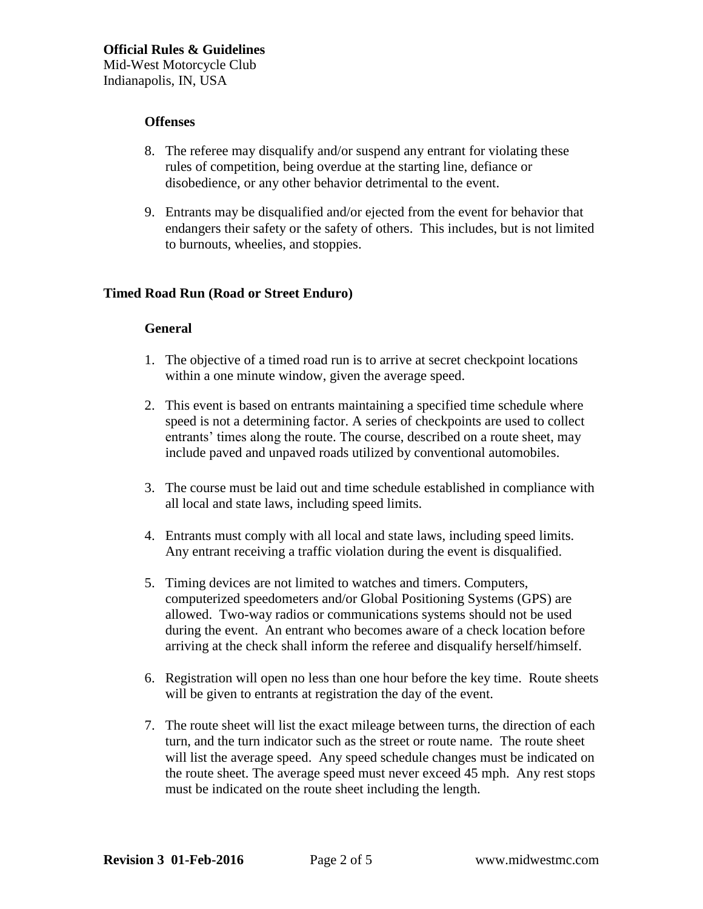#### **Offenses**

- 8. The referee may disqualify and/or suspend any entrant for violating these rules of competition, being overdue at the starting line, defiance or disobedience, or any other behavior detrimental to the event.
- 9. Entrants may be disqualified and/or ejected from the event for behavior that endangers their safety or the safety of others. This includes, but is not limited to burnouts, wheelies, and stoppies.

### **Timed Road Run (Road or Street Enduro)**

#### **General**

- 1. The objective of a timed road run is to arrive at secret checkpoint locations within a one minute window, given the average speed.
- 2. This event is based on entrants maintaining a specified time schedule where speed is not a determining factor. A series of checkpoints are used to collect entrants' times along the route. The course, described on a route sheet, may include paved and unpaved roads utilized by conventional automobiles.
- 3. The course must be laid out and time schedule established in compliance with all local and state laws, including speed limits.
- 4. Entrants must comply with all local and state laws, including speed limits. Any entrant receiving a traffic violation during the event is disqualified.
- 5. Timing devices are not limited to watches and timers. Computers, computerized speedometers and/or Global Positioning Systems (GPS) are allowed. Two-way radios or communications systems should not be used during the event. An entrant who becomes aware of a check location before arriving at the check shall inform the referee and disqualify herself/himself.
- 6. Registration will open no less than one hour before the key time. Route sheets will be given to entrants at registration the day of the event.
- 7. The route sheet will list the exact mileage between turns, the direction of each turn, and the turn indicator such as the street or route name. The route sheet will list the average speed. Any speed schedule changes must be indicated on the route sheet. The average speed must never exceed 45 mph. Any rest stops must be indicated on the route sheet including the length.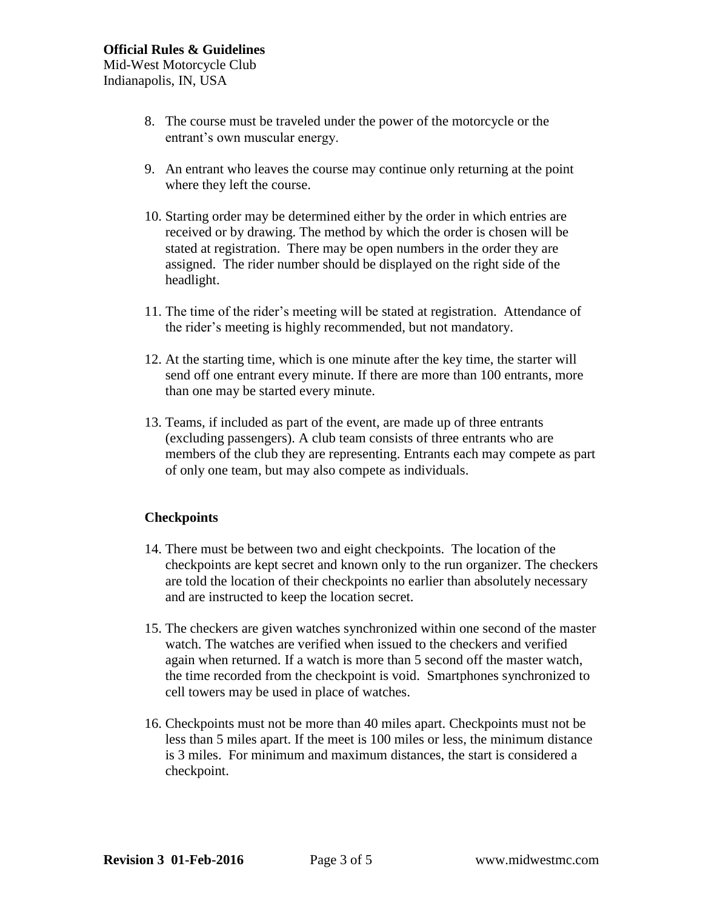- 8. The course must be traveled under the power of the motorcycle or the entrant's own muscular energy.
- 9. An entrant who leaves the course may continue only returning at the point where they left the course.
- 10. Starting order may be determined either by the order in which entries are received or by drawing. The method by which the order is chosen will be stated at registration. There may be open numbers in the order they are assigned. The rider number should be displayed on the right side of the headlight.
- 11. The time of the rider's meeting will be stated at registration. Attendance of the rider's meeting is highly recommended, but not mandatory.
- 12. At the starting time, which is one minute after the key time, the starter will send off one entrant every minute. If there are more than 100 entrants, more than one may be started every minute.
- 13. Teams, if included as part of the event, are made up of three entrants (excluding passengers). A club team consists of three entrants who are members of the club they are representing. Entrants each may compete as part of only one team, but may also compete as individuals.

# **Checkpoints**

- 14. There must be between two and eight checkpoints. The location of the checkpoints are kept secret and known only to the run organizer. The checkers are told the location of their checkpoints no earlier than absolutely necessary and are instructed to keep the location secret.
- 15. The checkers are given watches synchronized within one second of the master watch. The watches are verified when issued to the checkers and verified again when returned. If a watch is more than 5 second off the master watch, the time recorded from the checkpoint is void. Smartphones synchronized to cell towers may be used in place of watches.
- 16. Checkpoints must not be more than 40 miles apart. Checkpoints must not be less than 5 miles apart. If the meet is 100 miles or less, the minimum distance is 3 miles. For minimum and maximum distances, the start is considered a checkpoint.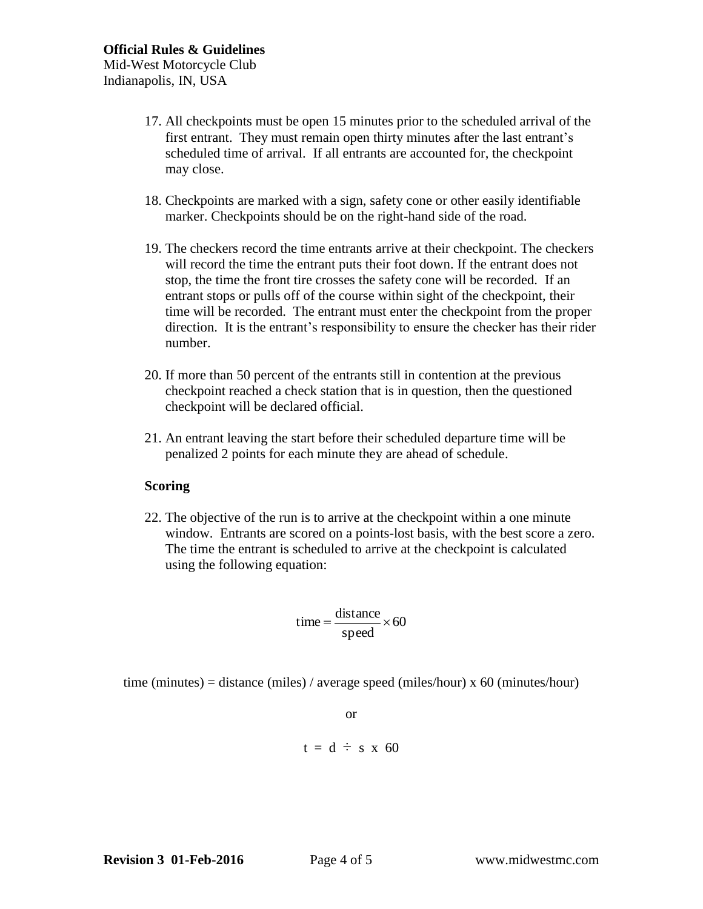Indianapolis, IN, USA

- 17. All checkpoints must be open 15 minutes prior to the scheduled arrival of the first entrant. They must remain open thirty minutes after the last entrant's scheduled time of arrival. If all entrants are accounted for, the checkpoint may close.
- 18. Checkpoints are marked with a sign, safety cone or other easily identifiable marker. Checkpoints should be on the right-hand side of the road.
- 19. The checkers record the time entrants arrive at their checkpoint. The checkers will record the time the entrant puts their foot down. If the entrant does not stop, the time the front tire crosses the safety cone will be recorded. If an entrant stops or pulls off of the course within sight of the checkpoint, their time will be recorded. The entrant must enter the checkpoint from the proper direction. It is the entrant's responsibility to ensure the checker has their rider number.
- 20. If more than 50 percent of the entrants still in contention at the previous checkpoint reached a check station that is in question, then the questioned checkpoint will be declared official.
- 21. An entrant leaving the start before their scheduled departure time will be penalized 2 points for each minute they are ahead of schedule.

# **Scoring**

22. The objective of the run is to arrive at the checkpoint within a one minute window. Entrants are scored on a points-lost basis, with the best score a zero. The time the entrant is scheduled to arrive at the checkpoint is calculated using the following equation:

$$
time = \frac{distance}{speed} \times 60
$$

time (minutes) = distance (miles) / average speed (miles/hour) x 60 (minutes/hour)

or  $t = d \div s$  x 60